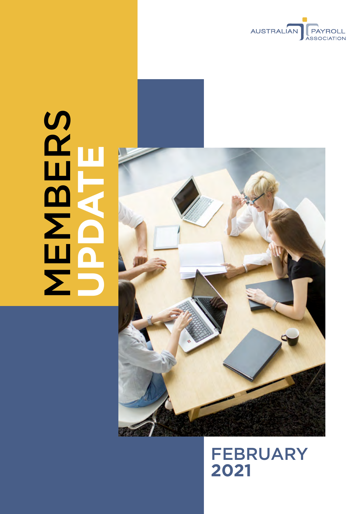

# SERS<br>NEWS **MBERS UPDATE**



FEBRUARY **2021**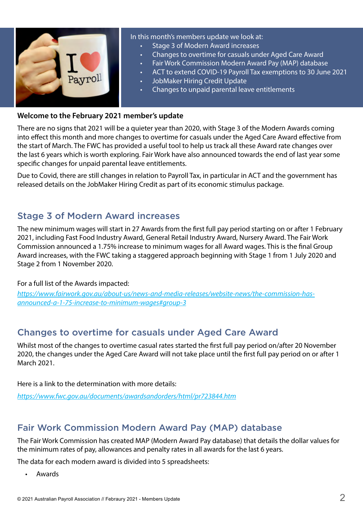

#### **Welcome to the February 2021 member's update**

There are no signs that 2021 will be a quieter year than 2020, with Stage 3 of the Modern Awards coming into effect this month and more changes to overtime for casuals under the Aged Care Award effective from the start of March. The FWC has provided a useful tool to help us track all these Award rate changes over the last 6 years which is worth exploring. Fair Work have also announced towards the end of last year some specific changes for unpaid parental leave entitlements.

Due to Covid, there are still changes in relation to Payroll Tax, in particular in ACT and the government has released details on the JobMaker Hiring Credit as part of its economic stimulus package.

### Stage 3 of Modern Award increases

The new minimum wages will start in 27 Awards from the first full pay period starting on or after 1 February 2021, including Fast Food Industry Award, General Retail Industry Award, Nursery Award. The Fair Work Commission announced a 1.75% increase to minimum wages for all Award wages. This is the final Group Award increases, with the FWC taking a staggered approach beginning with Stage 1 from 1 July 2020 and Stage 2 from 1 November 2020.

#### For a full list of the Awards impacted:

*[https://www.fairwork.gov.au/about-us/news-and-media-releases/website-news/the-commission-has](https://www.fairwork.gov.au/about-us/news-and-media-releases/website-news/the-commission-has-announced-a-1-75-increase-to-minimum-wages#group-3)[announced-a-1-75-increase-to-minimum-wages#group-3](https://www.fairwork.gov.au/about-us/news-and-media-releases/website-news/the-commission-has-announced-a-1-75-increase-to-minimum-wages#group-3)*

# Changes to overtime for casuals under Aged Care Award

Whilst most of the changes to overtime casual rates started the first full pay period on/after 20 November 2020, the changes under the Aged Care Award will not take place until the first full pay period on or after 1 March 2021.

Here is a link to the determination with more details:

*<https://www.fwc.gov.au/documents/awardsandorders/html/pr723844.htm>*

# Fair Work Commission Modern Award Pay (MAP) database

The Fair Work Commission has created MAP (Modern Award Pay database) that details the dollar values for the minimum rates of pay, allowances and penalty rates in all awards for the last 6 years.

The data for each modern award is divided into 5 spreadsheets:

**Awards**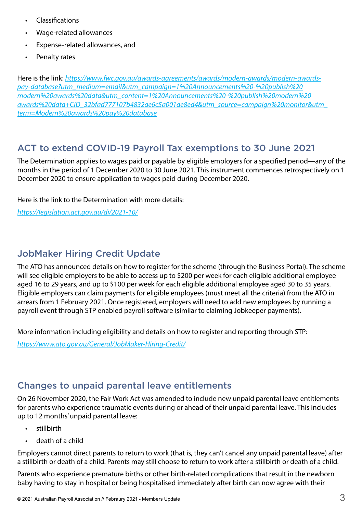- **Classifications**
- • Wage-related allowances
- • Expense-related allowances, and
- Penalty rates

Here is the link: *[https://www.fwc.gov.au/awards-agreements/awards/modern-awards/modern-awards](https://www.fwc.gov.au/awards-agreements/awards/modern-awards/modern-awards-pay-database?utm_medium=email&utm_campaign=1%20Announcements%20-%20publish%20modern%20awards%20data&utm_content=1%20Announcements%20-%20publish%20modern%20awards%20data+CID_32bfad777107b4832ae6c5a001ae8ed4&utm_source=campaign%20monitor&utm_term=Modern%20awards%20pay%20database)[pay-database?utm\\_medium=email&utm\\_campaign=1%20Announcements%20-%20publish%20](https://www.fwc.gov.au/awards-agreements/awards/modern-awards/modern-awards-pay-database?utm_medium=email&utm_campaign=1%20Announcements%20-%20publish%20modern%20awards%20data&utm_content=1%20Announcements%20-%20publish%20modern%20awards%20data+CID_32bfad777107b4832ae6c5a001ae8ed4&utm_source=campaign%20monitor&utm_term=Modern%20awards%20pay%20database) [modern%20awards%20data&utm\\_content=1%20Announcements%20-%20publish%20modern%20](https://www.fwc.gov.au/awards-agreements/awards/modern-awards/modern-awards-pay-database?utm_medium=email&utm_campaign=1%20Announcements%20-%20publish%20modern%20awards%20data&utm_content=1%20Announcements%20-%20publish%20modern%20awards%20data+CID_32bfad777107b4832ae6c5a001ae8ed4&utm_source=campaign%20monitor&utm_term=Modern%20awards%20pay%20database) [awards%20data+CID\\_32bfad777107b4832ae6c5a001ae8ed4&utm\\_source=campaign%20monitor&utm\\_](https://www.fwc.gov.au/awards-agreements/awards/modern-awards/modern-awards-pay-database?utm_medium=email&utm_campaign=1%20Announcements%20-%20publish%20modern%20awards%20data&utm_content=1%20Announcements%20-%20publish%20modern%20awards%20data+CID_32bfad777107b4832ae6c5a001ae8ed4&utm_source=campaign%20monitor&utm_term=Modern%20awards%20pay%20database) [term=Modern%20awards%20pay%20database](https://www.fwc.gov.au/awards-agreements/awards/modern-awards/modern-awards-pay-database?utm_medium=email&utm_campaign=1%20Announcements%20-%20publish%20modern%20awards%20data&utm_content=1%20Announcements%20-%20publish%20modern%20awards%20data+CID_32bfad777107b4832ae6c5a001ae8ed4&utm_source=campaign%20monitor&utm_term=Modern%20awards%20pay%20database)*

## ACT to extend COVID-19 Payroll Tax exemptions to 30 June 2021

The Determination applies to wages paid or payable by eligible employers for a specified period—any of the months in the period of 1 December 2020 to 30 June 2021. This instrument commences retrospectively on 1 December 2020 to ensure application to wages paid during December 2020.

Here is the link to the Determination with more details:

*<https://legislation.act.gov.au/di/2021-10/>*

# JobMaker Hiring Credit Update

The ATO has announced details on how to register for the scheme (through the Business Portal). The scheme will see eligible employers to be able to access up to \$200 per week for each eligible additional employee aged 16 to 29 years, and up to \$100 per week for each eligible additional employee aged 30 to 35 years. Eligible employers can claim payments for eligible employees (must meet all the criteria) from the ATO in arrears from 1 February 2021. Once registered, employers will need to add new employees by running a payroll event through STP enabled payroll software (similar to claiming Jobkeeper payments).

More information including eligibility and details on how to register and reporting through STP:

*<https://www.ato.gov.au/General/JobMaker-Hiring-Credit/>*

### Changes to unpaid parental leave entitlements

On 26 November 2020, the Fair Work Act was amended to include new unpaid parental leave entitlements for parents who experience traumatic events during or ahead of their unpaid parental leave. This includes up to 12 months' unpaid parental leave:

- • stillbirth
- death of a child

Employers cannot direct parents to return to work (that is, they can't cancel any unpaid parental leave) after a stillbirth or death of a child. Parents may still choose to return to work after a stillbirth or death of a child.

Parents who experience premature births or other birth-related complications that result in the newborn baby having to stay in hospital or being hospitalised immediately after birth can now agree with their